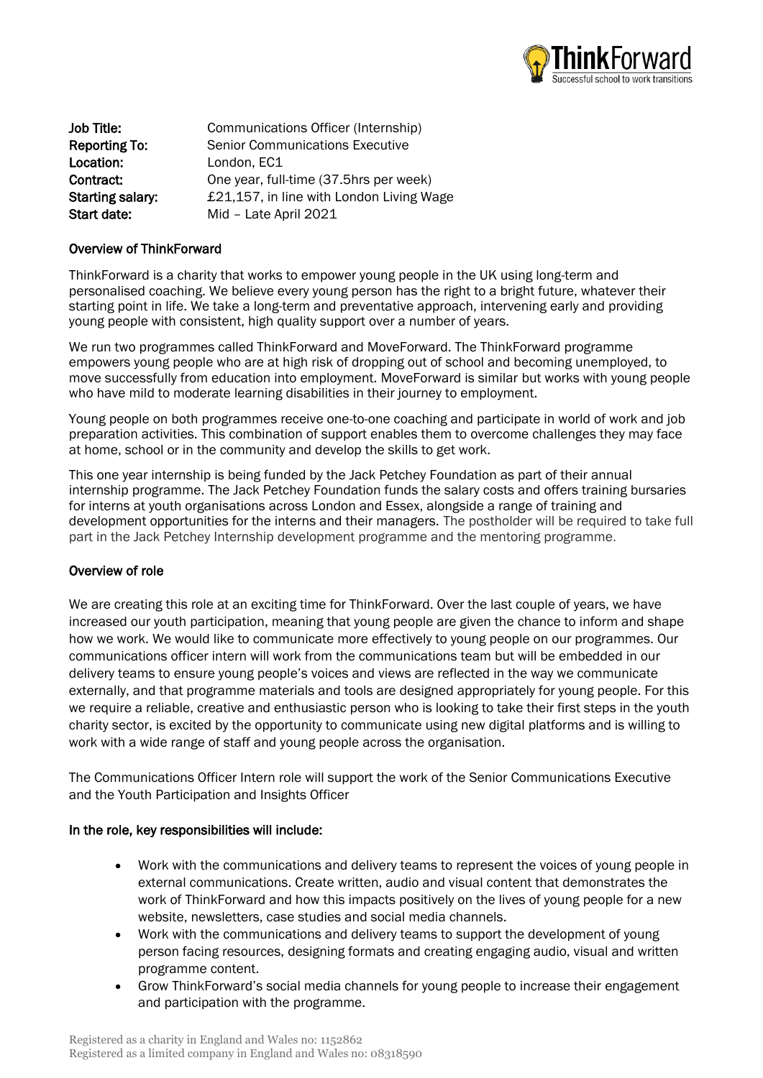

Job Title: Communications Officer (Internship) Reporting To: Senior Communications Executive Location: London, EC1 Contract: One year, full-time (37.5hrs per week) Starting salary: E21,157, in line with London Living Wage Start date: Mid - Late April 2021

#### Overview of ThinkForward

ThinkForward is a charity that works to empower young people in the UK using long-term and personalised coaching. We believe every young person has the right to a bright future, whatever their starting point in life. We take a long-term and preventative approach, intervening early and providing young people with consistent, high quality support over a number of years.

We run two programmes called ThinkForward and MoveForward. The ThinkForward programme empowers young people who are at high risk of dropping out of school and becoming unemployed, to move successfully from education into employment. MoveForward is similar but works with young people who have mild to moderate learning disabilities in their journey to employment.

Young people on both programmes receive one-to-one coaching and participate in world of work and job preparation activities. This combination of support enables them to overcome challenges they may face at home, school or in the community and develop the skills to get work.

This one year internship is being funded by the Jack Petchey Foundation as part of their annual internship programme. The Jack Petchey Foundation funds the salary costs and offers training bursaries for interns at youth organisations across London and Essex, alongside a range of training and development opportunities for the interns and their managers. The postholder will be required to take full part in the Jack Petchey Internship development programme and the mentoring programme.

#### Overview of role

We are creating this role at an exciting time for ThinkForward. Over the last couple of years, we have increased our youth participation, meaning that young people are given the chance to inform and shape how we work. We would like to communicate more effectively to young people on our programmes. Our communications officer intern will work from the communications team but will be embedded in our delivery teams to ensure young people's voices and views are reflected in the way we communicate externally, and that programme materials and tools are designed appropriately for young people. For this we require a reliable, creative and enthusiastic person who is looking to take their first steps in the youth charity sector, is excited by the opportunity to communicate using new digital platforms and is willing to work with a wide range of staff and young people across the organisation.

The Communications Officer Intern role will support the work of the Senior Communications Executive and the Youth Participation and Insights Officer

#### In the role, key responsibilities will include:

- Work with the communications and delivery teams to represent the voices of young people in external communications. Create written, audio and visual content that demonstrates the work of ThinkForward and how this impacts positively on the lives of young people for a new website, newsletters, case studies and social media channels.
- Work with the communications and delivery teams to support the development of young person facing resources, designing formats and creating engaging audio, visual and written programme content.
- Grow ThinkForward's social media channels for young people to increase their engagement and participation with the programme.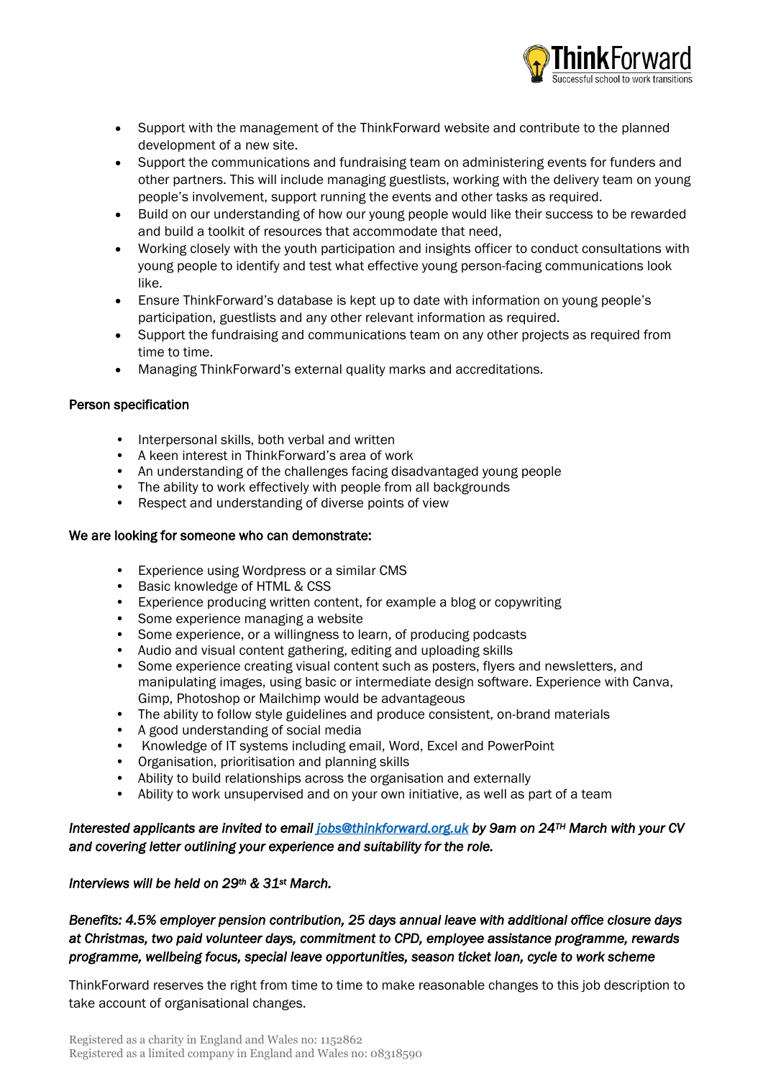

- Support with the management of the ThinkForward website and contribute to the planned development of a new site.
- Support the communications and fundraising team on administering events for funders and other partners. This will include managing guestlists, working with the delivery team on young people's involvement, support running the events and other tasks as required.
- Build on our understanding of how our young people would like their success to be rewarded and build a toolkit of resources that accommodate that need,
- Working closely with the youth participation and insights officer to conduct consultations with young people to identify and test what effective young person-facing communications look like.
- Ensure ThinkForward's database is kept up to date with information on young people's participation, guestlists and any other relevant information as required.
- Support the fundraising and communications team on any other projects as required from time to time.
- Managing ThinkForward's external quality marks and accreditations.

### Person specification

- Interpersonal skills, both verbal and written
- A keen interest in ThinkForward's area of work
- An understanding of the challenges facing disadvantaged young people
- The ability to work effectively with people from all backgrounds
- Respect and understanding of diverse points of view

## We are looking for someone who can demonstrate:

- Experience using Wordpress or a similar CMS
- Basic knowledge of HTML & CSS
- Experience producing written content, for example a blog or copywriting
- Some experience managing a website
- Some experience, or a willingness to learn, of producing podcasts
- Audio and visual content gathering, editing and uploading skills
- Some experience creating visual content such as posters, flyers and newsletters, and manipulating images, using basic or intermediate design software. Experience with Canva, Gimp, Photoshop or Mailchimp would be advantageous
- The ability to follow style guidelines and produce consistent, on-brand materials
- A good understanding of social media
- Knowledge of IT systems including email, Word, Excel and PowerPoint
- Organisation, prioritisation and planning skills
- Ability to build relationships across the organisation and externally
- Ability to work unsupervised and on your own initiative, as well as part of a team

## *Interested applicants are invited to email [jobs@thinkforward.org.uk](mailto:jobs@thinkforward.org.uk) by 9am on 24TH March with your CV and covering letter outlining your experience and suitability for the role.*

## *Interviews will be held on 29th & 31st March.*

# *Benefits: 4.5% employer pension contribution, 25 days annual leave with additional office closure days at Christmas, two paid volunteer days, commitment to CPD, employee assistance programme, rewards programme, wellbeing focus, special leave opportunities, season ticket loan, cycle to work scheme*

ThinkForward reserves the right from time to time to make reasonable changes to this job description to take account of organisational changes.